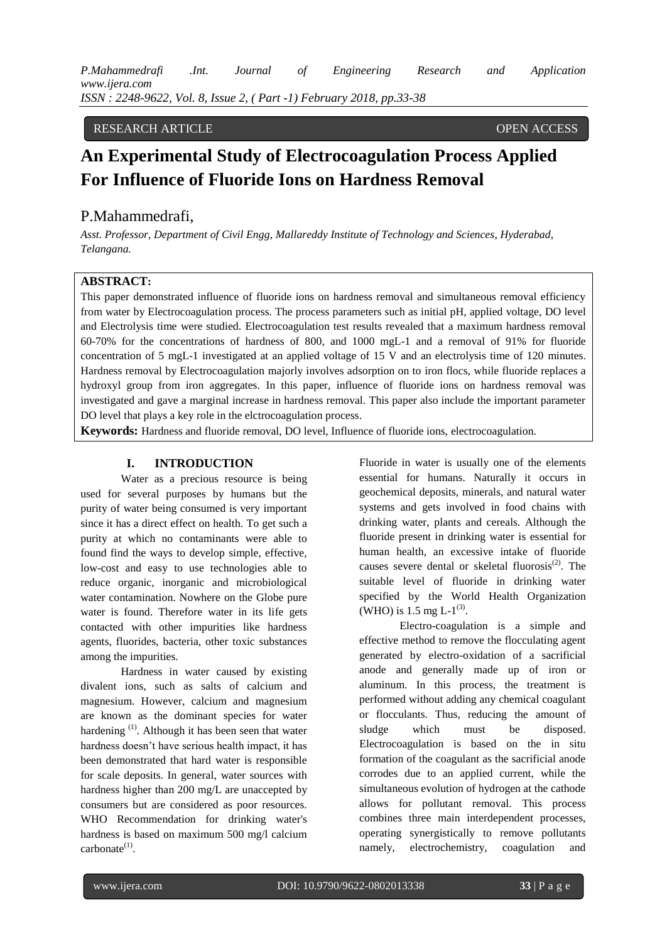*P.Mahammedrafi .Int. Journal of Engineering Research and Application www.ijera.com ISSN : 2248-9622, Vol. 8, Issue 2, ( Part -1) February 2018, pp.33-38*

# RESEARCH ARTICLE OPEN ACCESS

# **An Experimental Study of Electrocoagulation Process Applied For Influence of Fluoride Ions on Hardness Removal**

# P.Mahammedrafi,

*Asst. Professor, Department of Civil Engg, Mallareddy Institute of Technology and Sciences*, *Hyderabad, Telangana.*

# **ABSTRACT:**

This paper demonstrated influence of fluoride ions on hardness removal and simultaneous removal efficiency from water by Electrocoagulation process. The process parameters such as initial pH, applied voltage, DO level and Electrolysis time were studied. Electrocoagulation test results revealed that a maximum hardness removal 60-70% for the concentrations of hardness of 800, and 1000 mgL-1 and a removal of 91% for fluoride concentration of 5 mgL-1 investigated at an applied voltage of 15 V and an electrolysis time of 120 minutes. Hardness removal by Electrocoagulation majorly involves adsorption on to iron flocs, while fluoride replaces a hydroxyl group from iron aggregates. In this paper, influence of fluoride ions on hardness removal was investigated and gave a marginal increase in hardness removal. This paper also include the important parameter DO level that plays a key role in the elctrocoagulation process.

**Keywords:** Hardness and fluoride removal, DO level, Influence of fluoride ions, electrocoagulation.

### **I. INTRODUCTION**

Water as a precious resource is being used for several purposes by humans but the purity of water being consumed is very important since it has a direct effect on health. To get such a purity at which no contaminants were able to found find the ways to develop simple, effective, low-cost and easy to use technologies able to reduce organic, inorganic and microbiological water contamination. Nowhere on the Globe pure water is found. Therefore water in its life gets contacted with other impurities like hardness agents, fluorides, bacteria, other toxic substances among the impurities.

Hardness in water caused by existing divalent ions, such as salts of calcium and magnesium. However, calcium and magnesium are known as the dominant species for water hardening <sup>(1)</sup>. Although it has been seen that water hardness doesn't have serious health impact, it has been demonstrated that hard water is responsible for scale deposits. In general, water sources with hardness higher than 200 mg/L are unaccepted by consumers but are considered as poor resources. WHO Recommendation for drinking water's hardness is based on maximum 500 mg/l calcium  $carbonate^{(1)}$ .

Fluoride in water is usually one of the elements essential for humans. Naturally it occurs in geochemical deposits, minerals, and natural water systems and gets involved in food chains with drinking water, plants and cereals. Although the fluoride present in drinking water is essential for human health, an excessive intake of fluoride causes severe dental or skeletal fluorosis $^{(2)}$ . The suitable level of fluoride in drinking water specified by the World Health Organization (WHO) is 1.5 mg L- $1^{(3)}$ .

Electro-coagulation is a simple and effective method to remove the flocculating agent generated by electro-oxidation of a sacrificial anode and generally made up of iron or aluminum. In this process, the treatment is performed without adding any chemical coagulant or flocculants. Thus, reducing the amount of sludge which must be disposed. Electrocoagulation is based on the in situ formation of the coagulant as the sacrificial anode corrodes due to an applied current, while the simultaneous evolution of hydrogen at the cathode allows for pollutant removal. This process combines three main interdependent processes, operating synergistically to remove pollutants namely, electrochemistry, coagulation and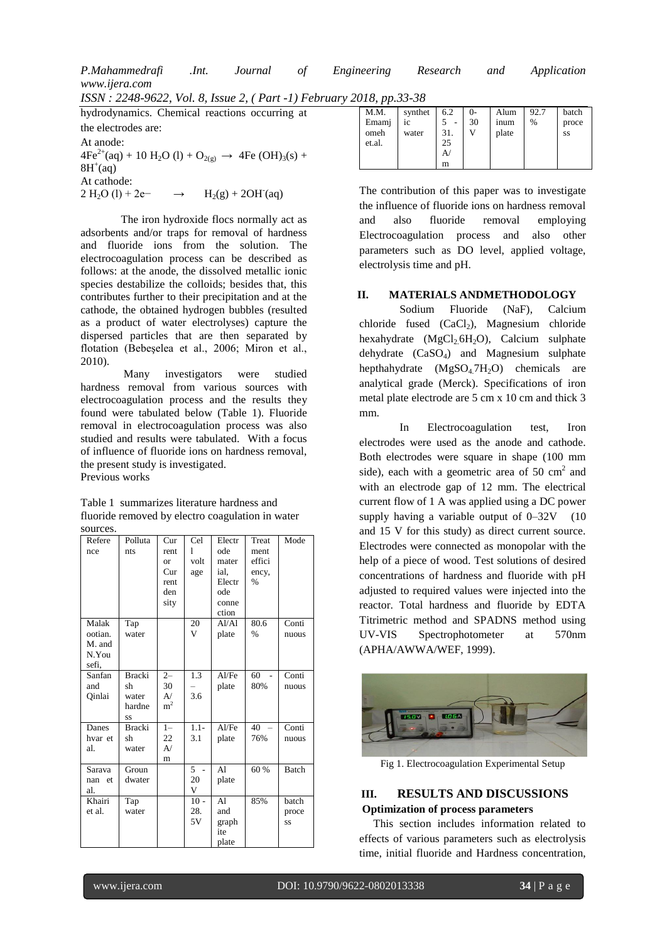P.Mahammedrafi  $Int.$ Journal Engineering Research Application οf and. www.ijera.com

ISSN: 2248-9622, Vol. 8, Issue 2, (Part -1) February 2018, pp.33-38

hydrodynamics. Chemical reactions occurring at the electrodes are: At anode:  $4Fe^{2+}(aq) + 10 H_2O (l) + O_{2(g)} \rightarrow 4Fe (OH)_3(s) +$  $8H^+(aq)$ At cathode:  $2 H<sub>2</sub>O (1) + 2e^ H_2(g) + 2OH(aq)$ 

The iron hydroxide flocs normally act as adsorbents and/or traps for removal of hardness and fluoride ions from the solution. The electrocoagulation process can be described as follows: at the anode, the dissolved metallic ionic species destabilize the colloids; besides that, this contributes further to their precipitation and at the cathode, the obtained hydrogen bubbles (resulted as a product of water electrolyses) capture the dispersed particles that are then separated by flotation (Bebeșelea et al., 2006; Miron et al.,  $2010$ ).

Many investigators were studied hardness removal from various sources with electrocoagulation process and the results they found were tabulated below (Table 1). Fluoride removal in electrocoagulation process was also studied and results were tabulated. With a focus of influence of fluoride ions on hardness removal, the present study is investigated.

Previous works

Table 1 summarizes literature hardness and fluoride removed by electro coagulation in water sources.

| Refere<br>nce                                | Polluta<br>nts                               | Cur<br>rent<br><b>or</b><br>Cur<br>rent<br>den | Cel<br>1<br>volt<br>age | Electr<br>ode<br>mater<br>ial.<br>Electr<br>ode | Treat<br>ment<br>effici<br>ency,<br>$\frac{0}{6}$ | Mode                 |
|----------------------------------------------|----------------------------------------------|------------------------------------------------|-------------------------|-------------------------------------------------|---------------------------------------------------|----------------------|
|                                              |                                              | sity                                           |                         | conne<br>ction                                  |                                                   |                      |
| Malak<br>ootian.<br>M. and<br>N.You<br>sefi, | Tap<br>water                                 |                                                | 20<br>V                 | A1/A1<br>plate                                  | 80.6<br>$\frac{0}{0}$                             | Conti<br>nuous       |
| Sanfan<br>and<br>Qinlai                      | <b>Bracki</b><br>sh<br>water<br>hardne<br>SS | $2 -$<br>30<br>A/<br>m <sup>2</sup>            | 1.3<br>3.6              | AI/Fe<br>plate                                  | 60<br>80%                                         | Conti<br>nuous       |
| Danes<br>hvar et<br>al.                      | Bracki<br>sh<br>water                        | $1 -$<br>22<br>A/<br>m                         | $1.1 -$<br>3.1          | AI/Fe<br>plate                                  | 40<br>76%                                         | Conti<br>nuous       |
| Sarava<br>nan et<br>al.                      | Groun<br>dwater                              |                                                | 5<br>20<br>V            | A <sub>1</sub><br>plate                         | 60 %                                              | <b>Batch</b>         |
| Khairi<br>et al.                             | Tap<br>water                                 |                                                | $10 -$<br>28.<br>5V     | Al<br>and<br>graph<br>ite<br>plate              | 85%                                               | batch<br>proce<br>SS |

| 010, pp.00, 00<br>M.M.<br>Emami<br>omeh<br>et.al. | synthet<br>iс<br>water | 6.2<br>31.<br>25<br>A | $()$ -<br>30 | Alum<br>inum<br>plate | 92.7<br>$\%$ | batch<br>proce<br>SS |
|---------------------------------------------------|------------------------|-----------------------|--------------|-----------------------|--------------|----------------------|
|                                                   |                        | m                     |              |                       |              |                      |

The contribution of this paper was to investigate the influence of fluoride ions on hardness removal and also fluoride removal employing Electrocoagulation process and also other parameters such as DO level, applied voltage, electrolysis time and pH.

#### MATERIALS ANDMETHODOLOGY II.

Sodium Fluoride  $(NaF)$ , Calcium chloride fused (CaCl<sub>2</sub>), Magnesium chloride hexahydrate  $(MgCl_2 6H_2O)$ , Calcium sulphate  $dehydrate$   $(CaSO<sub>4</sub>)$  and Magnesium sulphate hepthahydrate  $(MgSO_4.7H_2O)$  chemicals are analytical grade (Merck). Specifications of iron metal plate electrode are 5 cm x 10 cm and thick 3  $mm$ 

In Electrocoagulation test.  $$ electrodes were used as the anode and cathode. Both electrodes were square in shape (100 mm side), each with a geometric area of 50  $\text{cm}^2$  and with an electrode gap of 12 mm. The electrical current flow of 1 A was applied using a DC power supply having a variable output of  $0-32V$  (10 and 15 V for this study) as direct current source. Electrodes were connected as monopolar with the help of a piece of wood. Test solutions of desired concentrations of hardness and fluoride with pH adjusted to required values were injected into the reactor. Total hardness and fluoride by EDTA Titrimetric method and SPADNS method using UV-VIS 570<sub>nm</sub> Spectrophotometer at (APHA/AWWA/WEF, 1999).



Fig 1. Electrocoagulation Experimental Setup

#### **RESULTS AND DISCUSSIONS** Ш. **Optimization of process parameters**

This section includes information related to effects of various parameters such as electrolysis time, initial fluoride and Hardness concentration,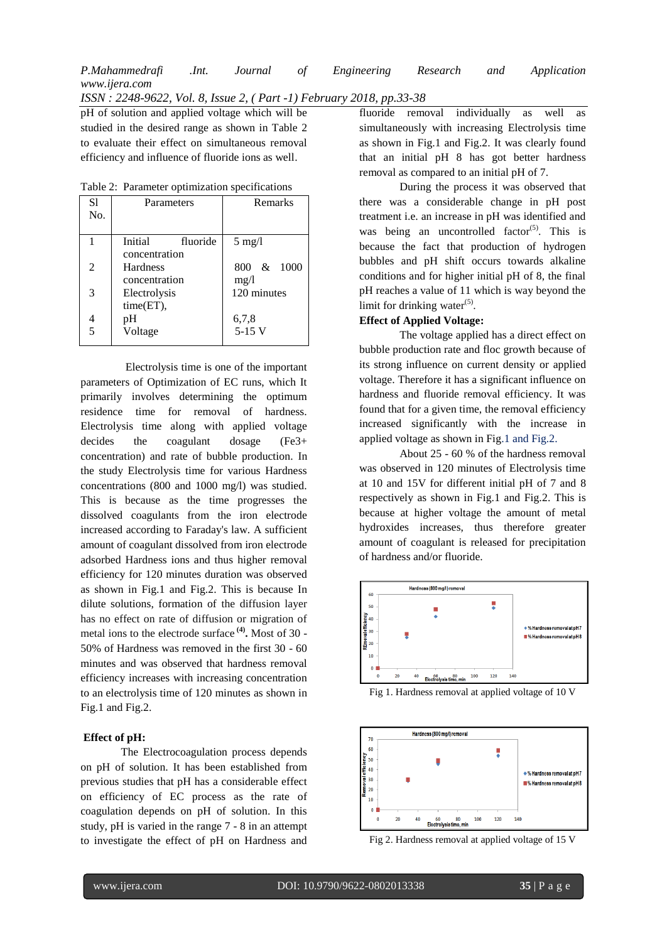*ISSN : 2248-9622, Vol. 8, Issue 2, ( Part -1) February 2018, pp.33-38*

pH of solution and applied voltage which will be studied in the desired range as shown in Table 2 to evaluate their effect on simultaneous removal efficiency and influence of fluoride ions as well.

| S1<br>No. | Parameters                           | Remarks            |
|-----------|--------------------------------------|--------------------|
|           | Initial<br>fluoride<br>concentration | $5 \text{ mg}/l$   |
| 2         | <b>Hardness</b><br>concentration     | 800 & 1000<br>mg/1 |
| 3         | Electrolysis<br>time(ET),            | 120 minutes        |
| 4<br>5    | рH<br>Voltage                        | 6,7,8<br>$5-15$ V  |

Table 2: Parameter optimization specifications

 Electrolysis time is one of the important parameters of Optimization of EC runs, which It primarily involves determining the optimum residence time for removal of hardness. Electrolysis time along with applied voltage decides the coagulant dosage (Fe3+ concentration) and rate of bubble production. In the study Electrolysis time for various Hardness concentrations (800 and 1000 mg/l) was studied. This is because as the time progresses the dissolved coagulants from the iron electrode increased according to Faraday's law. A sufficient amount of coagulant dissolved from iron electrode adsorbed Hardness ions and thus higher removal efficiency for 120 minutes duration was observed as shown in Fig.1 and Fig.2. This is because In dilute solutions, formation of the diffusion layer has no effect on rate of diffusion or migration of metal ions to the electrode surface **(4) .** Most of 30 - 50% of Hardness was removed in the first 30 - 60 minutes and was observed that hardness removal efficiency increases with increasing concentration to an electrolysis time of 120 minutes as shown in Fig.1 and Fig.2.

#### **Effect of pH:**

The Electrocoagulation process depends on pH of solution. It has been established from previous studies that pH has a considerable effect on efficiency of EC process as the rate of coagulation depends on pH of solution. In this study, pH is varied in the range 7 - 8 in an attempt to investigate the effect of pH on Hardness and

fluoride removal individually as well as simultaneously with increasing Electrolysis time as shown in Fig.1 and Fig.2. It was clearly found that an initial pH 8 has got better hardness removal as compared to an initial pH of 7.

During the process it was observed that there was a considerable change in pH post treatment i.e. an increase in pH was identified and was being an uncontrolled factor<sup>(5)</sup>. This is because the fact that production of hydrogen bubbles and pH shift occurs towards alkaline conditions and for higher initial pH of 8, the final pH reaches a value of 11 which is way beyond the limit for drinking water $(5)$ .

# **Effect of Applied Voltage:**

The voltage applied has a direct effect on bubble production rate and floc growth because of its strong influence on current density or applied voltage. Therefore it has a significant influence on hardness and fluoride removal efficiency. It was found that for a given time, the removal efficiency increased significantly with the increase in applied voltage as shown in Fig.1 and Fig.2.

About 25 - 60 % of the hardness removal was observed in 120 minutes of Electrolysis time at 10 and 15V for different initial pH of 7 and 8 respectively as shown in Fig.1 and Fig.2. This is because at higher voltage the amount of metal hydroxides increases, thus therefore greater amount of coagulant is released for precipitation of hardness and/or fluoride.



Fig 1. Hardness removal at applied voltage of 10 V



Fig 2. Hardness removal at applied voltage of 15 V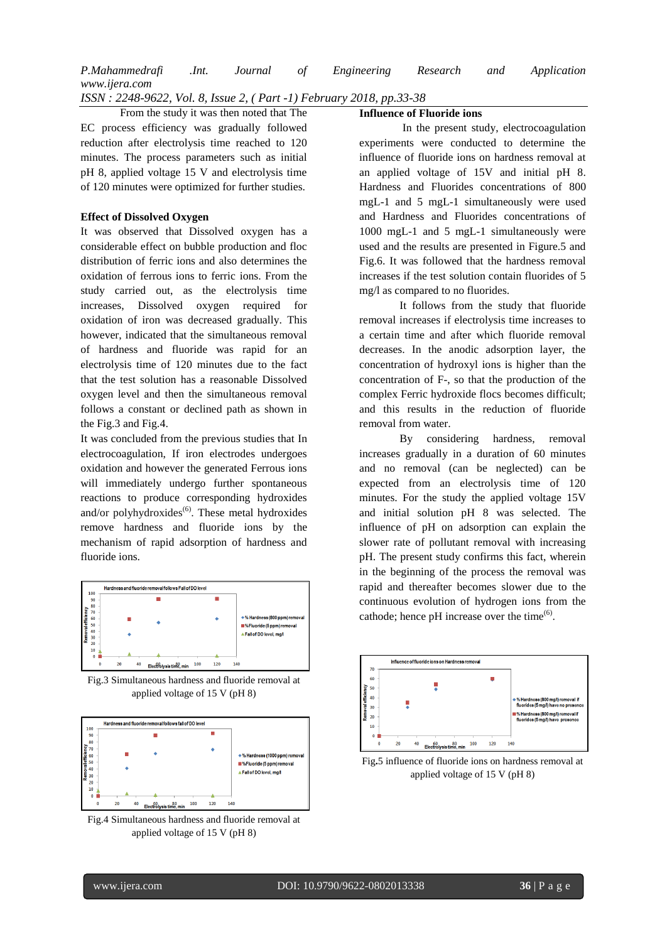*P.Mahammedrafi .Int. Journal of Engineering Research and Application www.ijera.com*

*ISSN : 2248-9622, Vol. 8, Issue 2, ( Part -1) February 2018, pp.33-38*

 From the study it was then noted that The EC process efficiency was gradually followed reduction after electrolysis time reached to 120 minutes. The process parameters such as initial pH 8, applied voltage 15 V and electrolysis time of 120 minutes were optimized for further studies.

#### **Effect of Dissolved Oxygen**

It was observed that Dissolved oxygen has a considerable effect on bubble production and floc distribution of ferric ions and also determines the oxidation of ferrous ions to ferric ions. From the study carried out, as the electrolysis time increases, Dissolved oxygen required for oxidation of iron was decreased gradually. This however, indicated that the simultaneous removal of hardness and fluoride was rapid for an electrolysis time of 120 minutes due to the fact that the test solution has a reasonable Dissolved oxygen level and then the simultaneous removal follows a constant or declined path as shown in the Fig.3 and Fig.4.

It was concluded from the previous studies that In electrocoagulation, If iron electrodes undergoes oxidation and however the generated Ferrous ions will immediately undergo further spontaneous reactions to produce corresponding hydroxides and/or polyhydroxides $<sup>(6)</sup>$ . These metal hydroxides</sup> remove hardness and fluoride ions by the mechanism of rapid adsorption of hardness and fluoride ions.



Fig.3 Simultaneous hardness and fluoride removal at applied voltage of 15 V (pH 8)



Fig.4 Simultaneous hardness and fluoride removal at applied voltage of 15 V (pH 8)

#### **Influence of Fluoride ions**

In the present study, electrocoagulation experiments were conducted to determine the influence of fluoride ions on hardness removal at an applied voltage of 15V and initial pH 8. Hardness and Fluorides concentrations of 800 mgL-1 and 5 mgL-1 simultaneously were used and Hardness and Fluorides concentrations of 1000 mgL-1 and 5 mgL-1 simultaneously were used and the results are presented in Figure.5 and Fig.6. It was followed that the hardness removal increases if the test solution contain fluorides of 5 mg/l as compared to no fluorides.

It follows from the study that fluoride removal increases if electrolysis time increases to a certain time and after which fluoride removal decreases. In the anodic adsorption layer, the concentration of hydroxyl ions is higher than the concentration of F-, so that the production of the complex Ferric hydroxide flocs becomes difficult; and this results in the reduction of fluoride removal from water.

By considering hardness, removal increases gradually in a duration of 60 minutes and no removal (can be neglected) can be expected from an electrolysis time of 120 minutes. For the study the applied voltage 15V and initial solution pH 8 was selected. The influence of pH on adsorption can explain the slower rate of pollutant removal with increasing pH. The present study confirms this fact, wherein in the beginning of the process the removal was rapid and thereafter becomes slower due to the continuous evolution of hydrogen ions from the cathode; hence pH increase over the time $^{(6)}$ .



Fig**.**5 influence of fluoride ions on hardness removal at applied voltage of 15 V (pH 8)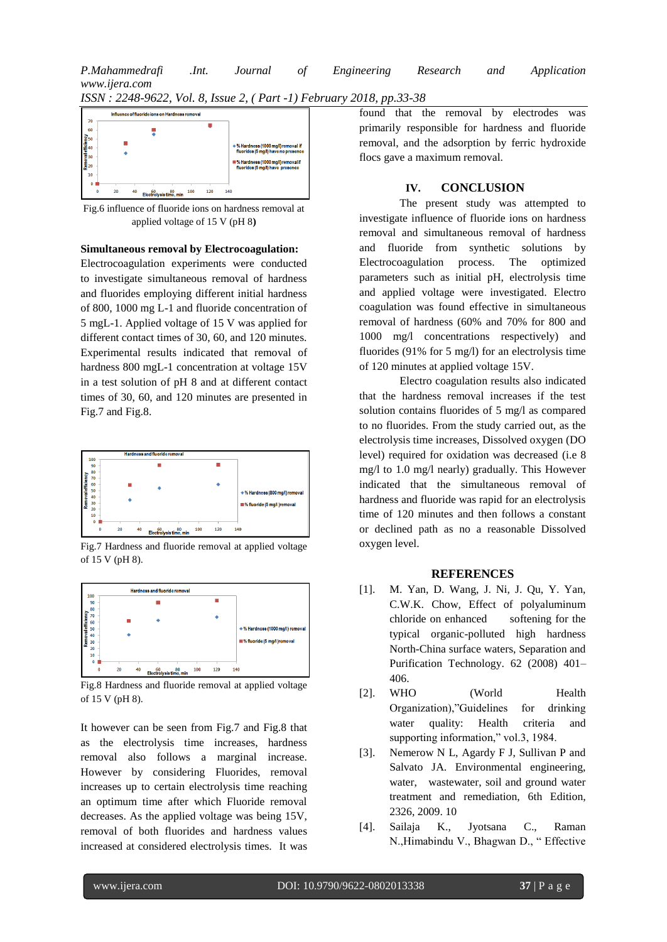



Fig.6 influence of fluoride ions on hardness removal at applied voltage of 15 V (pH 8**)**

# **Simultaneous removal by Electrocoagulation:**

Electrocoagulation experiments were conducted to investigate simultaneous removal of hardness and fluorides employing different initial hardness of 800, 1000 mg L-1 and fluoride concentration of 5 mgL-1. Applied voltage of 15 V was applied for different contact times of 30, 60, and 120 minutes. Experimental results indicated that removal of hardness 800 mgL-1 concentration at voltage 15V in a test solution of pH 8 and at different contact times of 30, 60, and 120 minutes are presented in Fig.7 and Fig.8.



Fig.7 Hardness and fluoride removal at applied voltage of 15 V (pH 8).



Fig.8 Hardness and fluoride removal at applied voltage of 15 V (pH 8).

It however can be seen from Fig.7 and Fig.8 that as the electrolysis time increases, hardness removal also follows a marginal increase. However by considering Fluorides, removal increases up to certain electrolysis time reaching an optimum time after which Fluoride removal decreases. As the applied voltage was being 15V, removal of both fluorides and hardness values increased at considered electrolysis times. It was

found that the removal by electrodes was primarily responsible for hardness and fluoride removal, and the adsorption by ferric hydroxide flocs gave a maximum removal.

# **IV. CONCLUSION**

The present study was attempted to investigate influence of fluoride ions on hardness removal and simultaneous removal of hardness and fluoride from synthetic solutions by Electrocoagulation process. The optimized parameters such as initial pH, electrolysis time and applied voltage were investigated. Electro coagulation was found effective in simultaneous removal of hardness (60% and 70% for 800 and 1000 mg/l concentrations respectively) and fluorides (91% for 5 mg/l) for an electrolysis time of 120 minutes at applied voltage 15V.

Electro coagulation results also indicated that the hardness removal increases if the test solution contains fluorides of 5 mg/l as compared to no fluorides. From the study carried out, as the electrolysis time increases, Dissolved oxygen (DO level) required for oxidation was decreased (i.e 8 mg/l to 1.0 mg/l nearly) gradually. This However indicated that the simultaneous removal of hardness and fluoride was rapid for an electrolysis time of 120 minutes and then follows a constant or declined path as no a reasonable Dissolved oxygen level.

# **REFERENCES**

- [1]. M. Yan, D. Wang, J. Ni, J. Qu, Y. Yan, C.W.K. Chow, Effect of polyaluminum chloride on enhanced softening for the typical organic-polluted high hardness North-China surface waters, Separation and Purification Technology. 62 (2008) 401– 406.
- [2]. WHO (World Health) Organization),"Guidelines for drinking water quality: Health criteria and supporting information," vol.3, 1984.
- [3]. Nemerow N L, Agardy F J, Sullivan P and Salvato JA. Environmental engineering, water, wastewater, soil and ground water treatment and remediation, 6th Edition, 2326, 2009. 10
- [4]. Sailaja K., Jyotsana C., Raman N.,Himabindu V., Bhagwan D., " Effective